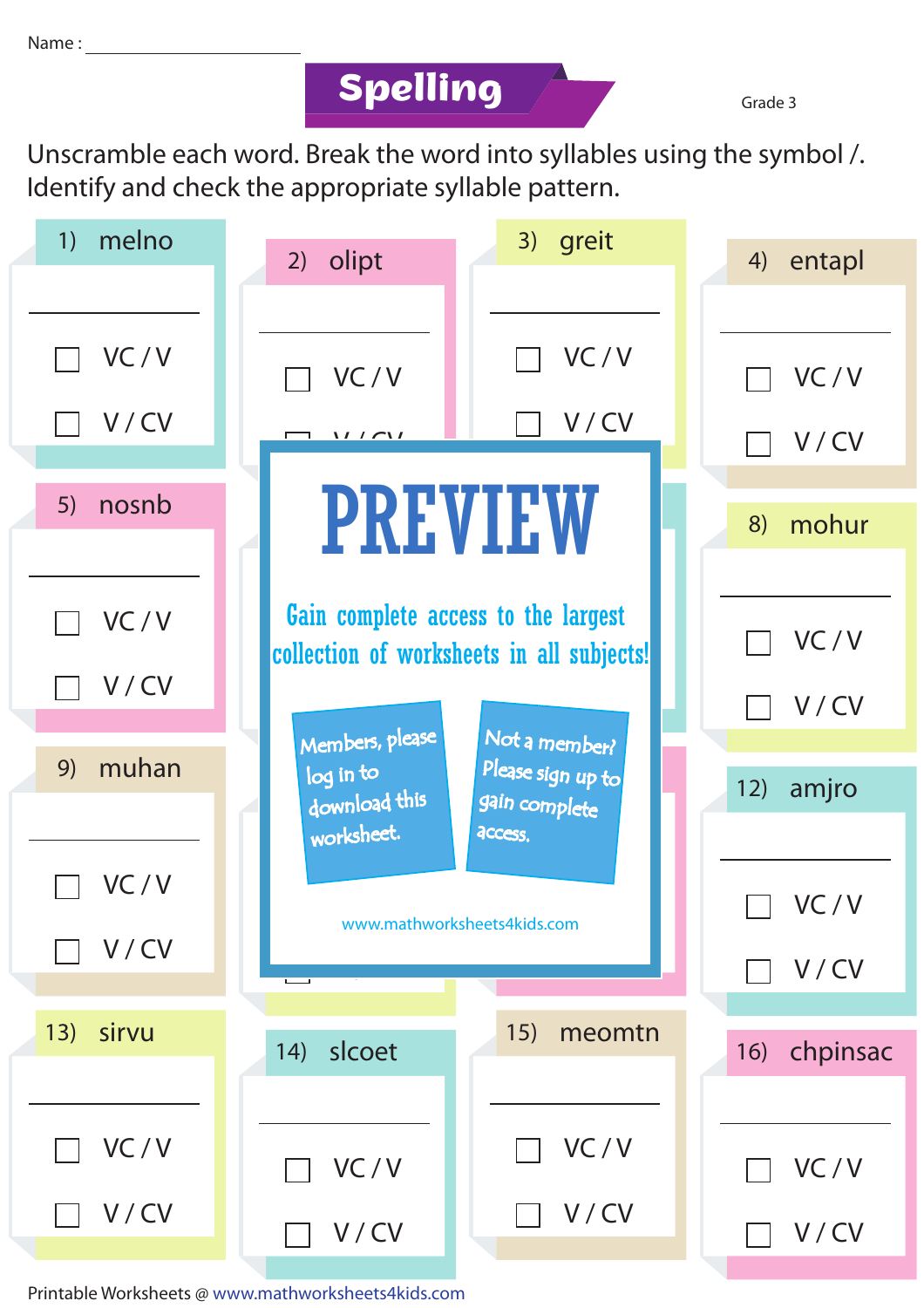## **Spelling**

Grade 3

Unscramble each word. Break the word into syllables using the symbol /. Identify and check the appropriate syllable pattern.

| melno<br>1)  | 3) greit<br>olipt<br>2)                                                                                                       | entapl<br>4)    |
|--------------|-------------------------------------------------------------------------------------------------------------------------------|-----------------|
|              |                                                                                                                               |                 |
| VC/V         | VC/V<br>VC/V                                                                                                                  | VC/V            |
| V/CV         | V/CV<br>$\frac{1}{\sqrt{1-\frac{1}{2}}}$                                                                                      | V/CV            |
| nosnb<br>5)  | <b>PREVIEW</b>                                                                                                                | mohur<br>8)     |
| VC/V         | Gain complete access to the largest<br>collection of worksheets in all subjects!                                              | VC/V            |
| V/CV         |                                                                                                                               | V/CV            |
| muhan<br>9)  | Members, please<br>Not a member?<br>Please sign up to<br>log in to<br>download this<br>gain complete<br>worksheet.<br>access. | amjro<br>12)    |
| VC/V         |                                                                                                                               | VC/V            |
| V/CV         | www.mathworksheets4kids.com                                                                                                   | V/CV            |
| 13)<br>sirvu | 15)<br>meomtn<br>slcoet<br>14)                                                                                                | chpinsac<br>16) |
| VC/V         | VC/V<br>VC/V                                                                                                                  | VC/V            |
| V/CV         | V/CV<br>V/CV                                                                                                                  | V/CV            |

Printable Worksheets @ www.mathworksheets4kids.com